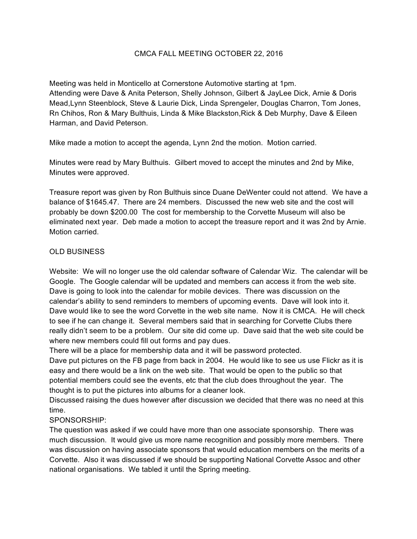## CMCA FALL MEETING OCTOBER 22, 2016

Meeting was held in Monticello at Cornerstone Automotive starting at 1pm. Attending were Dave & Anita Peterson, Shelly Johnson, Gilbert & JayLee Dick, Arnie & Doris Mead,Lynn Steenblock, Steve & Laurie Dick, Linda Sprengeler, Douglas Charron, Tom Jones, Rn Chihos, Ron & Mary Bulthuis, Linda & Mike Blackston,Rick & Deb Murphy, Dave & Eileen Harman, and David Peterson.

Mike made a motion to accept the agenda, Lynn 2nd the motion. Motion carried.

Minutes were read by Mary Bulthuis. Gilbert moved to accept the minutes and 2nd by Mike, Minutes were approved.

Treasure report was given by Ron Bulthuis since Duane DeWenter could not attend. We have a balance of \$1645.47. There are 24 members. Discussed the new web site and the cost will probably be down \$200.00 The cost for membership to the Corvette Museum will also be eliminated next year. Deb made a motion to accept the treasure report and it was 2nd by Arnie. Motion carried.

## OLD BUSINESS

Website: We will no longer use the old calendar software of Calendar Wiz. The calendar will be Google. The Google calendar will be updated and members can access it from the web site. Dave is going to look into the calendar for mobile devices. There was discussion on the calendar's ability to send reminders to members of upcoming events. Dave will look into it. Dave would like to see the word Corvette in the web site name. Now it is CMCA. He will check to see if he can change it. Several members said that in searching for Corvette Clubs there really didn't seem to be a problem. Our site did come up. Dave said that the web site could be where new members could fill out forms and pay dues.

There will be a place for membership data and it will be password protected.

Dave put pictures on the FB page from back in 2004. He would like to see us use Flickr as it is easy and there would be a link on the web site. That would be open to the public so that potential members could see the events, etc that the club does throughout the year. The thought is to put the pictures into albums for a cleaner look.

Discussed raising the dues however after discussion we decided that there was no need at this time.

## SPONSORSHIP:

The question was asked if we could have more than one associate sponsorship. There was much discussion. It would give us more name recognition and possibly more members. There was discussion on having associate sponsors that would education members on the merits of a Corvette. Also it was discussed if we should be supporting National Corvette Assoc and other national organisations. We tabled it until the Spring meeting.